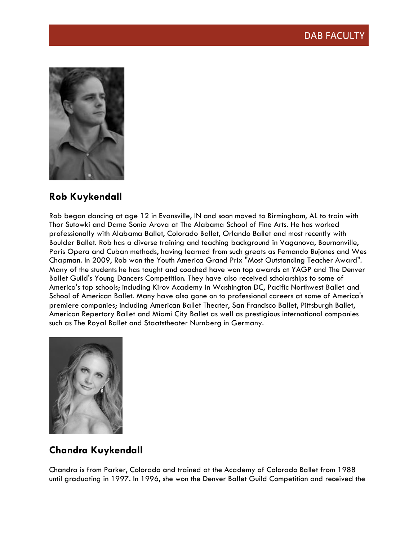

### **Rob Kuykendall**

Rob began dancing at age 12 in Evansville, IN and soon moved to Birmingham, AL to train with Thor Sutowki and Dame Sonia Arova at The Alabama School of Fine Arts. He has worked professionally with Alabama Ballet, Colorado Ballet, Orlando Ballet and most recently with Boulder Ballet. Rob has a diverse training and teaching background in Vaganova, Bournonville, Paris Opera and Cuban methods, having learned from such greats as Fernando Bujones and Wes Chapman. In 2009, Rob won the Youth America Grand Prix "Most Outstanding Teacher Award". Many of the students he has taught and coached have won top awards at YAGP and The Denver Ballet Guild's Young Dancers Competition. They have also received scholarships to some of America's top schools; including Kirov Academy in Washington DC, Pacific Northwest Ballet and School of American Ballet. Many have also gone on to professional careers at some of America's premiere companies; including American Ballet Theater, San Francisco Ballet, Pittsburgh Ballet, American Repertory Ballet and Miami City Ballet as well as prestigious international companies such as The Royal Ballet and Staatstheater Nurnberg in Germany.



# **Chandra Kuykendall**

Chandra is from Parker, Colorado and trained at the Academy of Colorado Ballet from 1988 until graduating in 1997. In 1996, she won the Denver Ballet Guild Competition and received the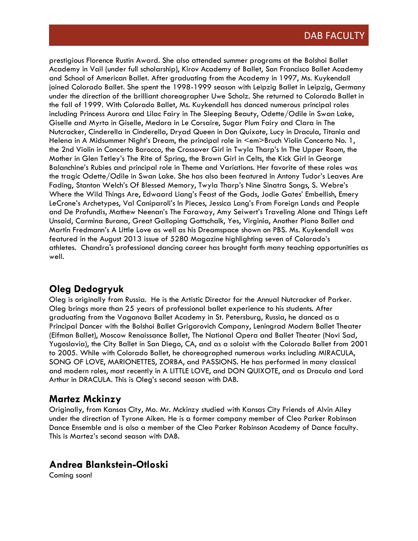prestigious Florence Rustin Award. She also attended summer programs at the Bolshoi Ballet Academy in Vail (under full scholarship), Kirov Academy of Ballet, San Francisco Ballet Academy and School of American Ballet. After graduating from the Academy in 1997, Ms. Kuykendall joined Colorado Ballet. She spent the 1998-1999 season with Leipzig Ballet in Leipzig, Germany under the direction of the brilliant choreographer Uwe Scholz. She returned to Colorado Ballet in the fall of 1999. With Colorado Ballet, Ms. Kuykendall has danced numerous principal roles including Princess Aurora and Lilac Fairy in The Sleeping Beauty, Odette/Odile in Swan Lake, Giselle and Myrta in Giselle, Medora in Le Corsaire, Sugar Plum Fairy and Clara in The Nutcracker, Cinderella in Cinderella, Dryad Queen in Don Quixote, Lucy in Dracula, Titania and Helena in A Midsummer Night's Dream, the principal role in <em>Bruch Violin Concerto No. 1, the 2nd Violin in Concerto Barocco, the Crossover Girl in Twyla Tharp's In The Upper Room, the Mother in Glen Tetley's The Rite of Spring, the Brown Girl in Celts, the Kick Girl in George Balanchine's Rubies and principal role in Theme and Variations. Her favorite of these roles was the tragic Odette/Odile in Swan Lake. She has also been featured in Antony Tudor's Leaves Are Fading, Stanton Welch's Of Blessed Memory, Twyla Tharp's Nine Sinatra Songs, S. Webre's Where the Wild Things Are, Edwaard Liang's Feast of the Gods, Jodie Gates' Embellish, Emery LeCrone's Archetypes, Val Caniparoli's In Pieces, Jessica Lang's From Foreign Lands and People and De Profundis, Mathew Neenan's The Faraway, Amy Seiwert's Traveling Alone and Things Left Unsaid, Carmina Burana, Great Galloping Gottschalk, Yes, Virginia, Another Piano Ballet and Martin Fredmann's A Little Love as well as his Dreamspace shown on PBS. Ms. Kuykendall was featured in the August 2013 issue of 5280 Magazine highlighting seven of Colorado's athletes. Chandra's professional dancing career has brought forth many teaching opportunities as well.

### **Oleg Dedogryuk**

Oleg is originally from Russia. He is the Artistic Director for the Annual Nutcracker of Parker. Oleg brings more than 25 years of professional ballet experience to his students. After graduating from the Vaganova Ballet Academy in St. Petersburg, Russia, he danced as a Principal Dancer with the Bolshoi Ballet Grigorovich Company, Leningrad Modern Ballet Theater (Eifman Ballet), Moscow Renaissance Ballet, The National Opera and Ballet Theater (Novi Sad, Yugoslavia), the City Ballet in San Diego, CA, and as a soloist with the Colorado Ballet from 2001 to 2005. While with Colorado Ballet, he choreographed numerous works including MIRACULA, SONG OF LOVE, MARIONETTES, ZORBA, and PASSIONS. He has performed in many classical and modern roles, most recently in A LITTLE LOVE, and DON QUIXOTE, and as Dracula and Lord Arthur in DRACULA. This is Oleg's second season with DAB.

#### **Martez Mckinzy**

Originally, from Kansas City, Mo. Mr. Mckinzy studied with Kansas City Friends of Alvin Ailey under the direction of Tyrone Aiken. He is a former company member of Cleo Parker Robinson Dance Ensemble and is also a member of the Cleo Parker Robinson Academy of Dance faculty. This is Martez's second season with DAB.

#### **Andrea Blankstein-Otloski**

Coming soon!